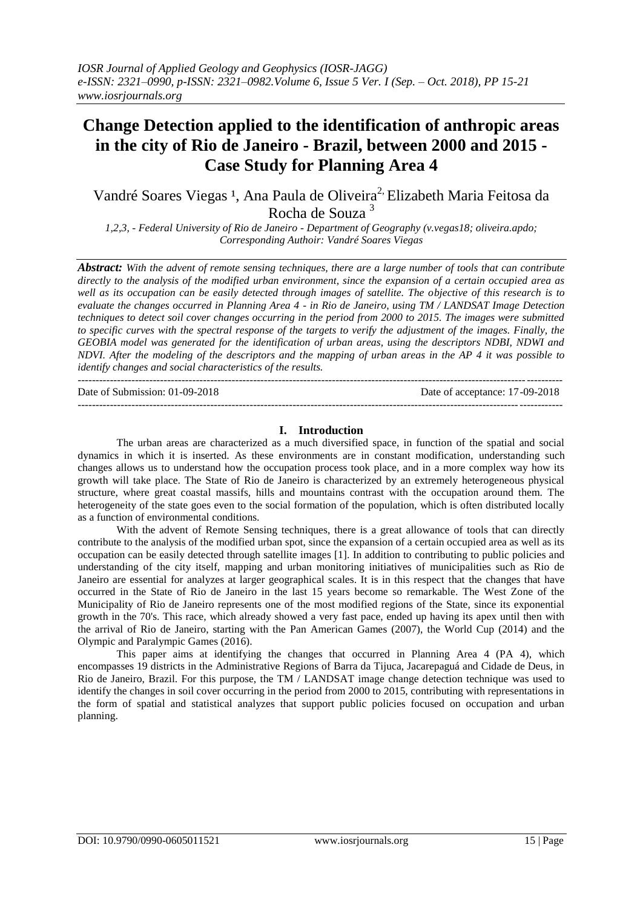# **Change Detection applied to the identification of anthropic areas in the city of Rio de Janeiro - Brazil, between 2000 and 2015 - Case Study for Planning Area 4**

Vandré Soares Viegas<sup>1</sup>, Ana Paula de Oliveira<sup>2,</sup> Elizabeth Maria Feitosa da Rocha de Souza <sup>3</sup>

*1,2,3, - Federal University of Rio de Janeiro - Department of Geography (v.vegas18; oliveira.apdo; Corresponding Authoir: Vandré Soares Viegas*

*Abstract: With the advent of remote sensing techniques, there are a large number of tools that can contribute directly to the analysis of the modified urban environment, since the expansion of a certain occupied area as well as its occupation can be easily detected through images of satellite. The objective of this research is to evaluate the changes occurred in Planning Area 4 - in Rio de Janeiro, using TM / LANDSAT Image Detection techniques to detect soil cover changes occurring in the period from 2000 to 2015. The images were submitted to specific curves with the spectral response of the targets to verify the adjustment of the images. Finally, the GEOBIA model was generated for the identification of urban areas, using the descriptors NDBI, NDWI and NDVI. After the modeling of the descriptors and the mapping of urban areas in the AP 4 it was possible to identify changes and social characteristics of the results.*

--------------------------------------------------------------------------------------------------------------------------------------- Date of Submission: 01-09-2018 Date of acceptance: 17-09-2018 --------------------------------------------------------------------------------------------------------------------------------------*-*

# **I. Introduction**

The urban areas are characterized as a much diversified space, in function of the spatial and social dynamics in which it is inserted. As these environments are in constant modification, understanding such changes allows us to understand how the occupation process took place, and in a more complex way how its growth will take place. The State of Rio de Janeiro is characterized by an extremely heterogeneous physical structure, where great coastal massifs, hills and mountains contrast with the occupation around them. The heterogeneity of the state goes even to the social formation of the population, which is often distributed locally as a function of environmental conditions.

With the advent of Remote Sensing techniques, there is a great allowance of tools that can directly contribute to the analysis of the modified urban spot, since the expansion of a certain occupied area as well as its occupation can be easily detected through satellite images [1]. In addition to contributing to public policies and understanding of the city itself, mapping and urban monitoring initiatives of municipalities such as Rio de Janeiro are essential for analyzes at larger geographical scales. It is in this respect that the changes that have occurred in the State of Rio de Janeiro in the last 15 years become so remarkable. The West Zone of the Municipality of Rio de Janeiro represents one of the most modified regions of the State, since its exponential growth in the 70's. This race, which already showed a very fast pace, ended up having its apex until then with the arrival of Rio de Janeiro, starting with the Pan American Games (2007), the World Cup (2014) and the Olympic and Paralympic Games (2016).

This paper aims at identifying the changes that occurred in Planning Area 4 (PA 4), which encompasses 19 districts in the Administrative Regions of Barra da Tijuca, Jacarepaguá and Cidade de Deus, in Rio de Janeiro, Brazil. For this purpose, the TM / LANDSAT image change detection technique was used to identify the changes in soil cover occurring in the period from 2000 to 2015, contributing with representations in the form of spatial and statistical analyzes that support public policies focused on occupation and urban planning.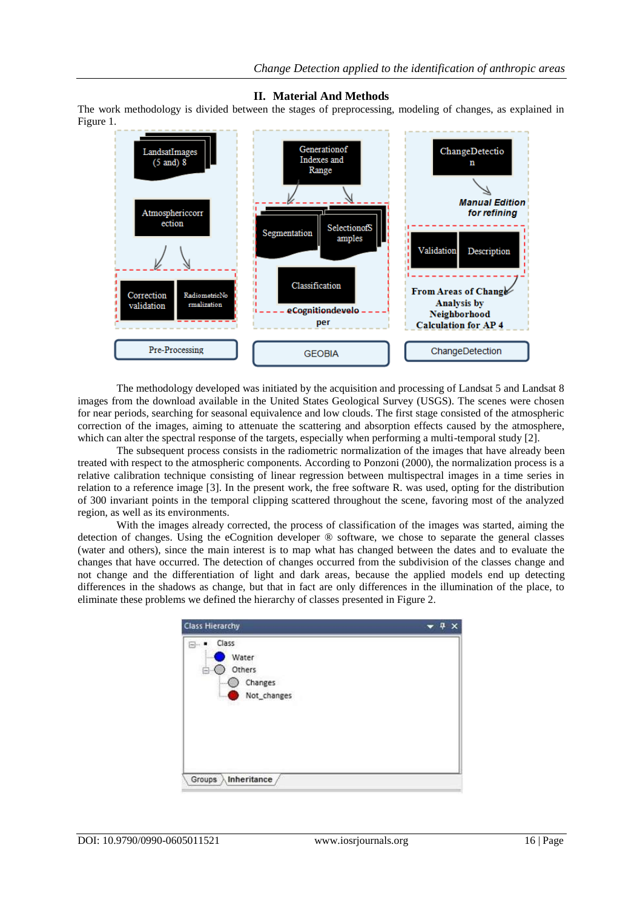# **II. Material And Methods**

The work methodology is divided between the stages of preprocessing, modeling of changes, as explained in Figure 1.



The methodology developed was initiated by the acquisition and processing of Landsat 5 and Landsat 8 images from the download available in the United States Geological Survey (USGS). The scenes were chosen for near periods, searching for seasonal equivalence and low clouds. The first stage consisted of the atmospheric correction of the images, aiming to attenuate the scattering and absorption effects caused by the atmosphere, which can alter the spectral response of the targets, especially when performing a multi-temporal study [2].

The subsequent process consists in the radiometric normalization of the images that have already been treated with respect to the atmospheric components. According to Ponzoni (2000), the normalization process is a relative calibration technique consisting of linear regression between multispectral images in a time series in relation to a reference image [3]. In the present work, the free software R. was used, opting for the distribution of 300 invariant points in the temporal clipping scattered throughout the scene, favoring most of the analyzed region, as well as its environments.

With the images already corrected, the process of classification of the images was started, aiming the detection of changes. Using the eCognition developer ® software, we chose to separate the general classes (water and others), since the main interest is to map what has changed between the dates and to evaluate the changes that have occurred. The detection of changes occurred from the subdivision of the classes change and not change and the differentiation of light and dark areas, because the applied models end up detecting differences in the shadows as change, but that in fact are only differences in the illumination of the place, to eliminate these problems we defined the hierarchy of classes presented in Figure 2.

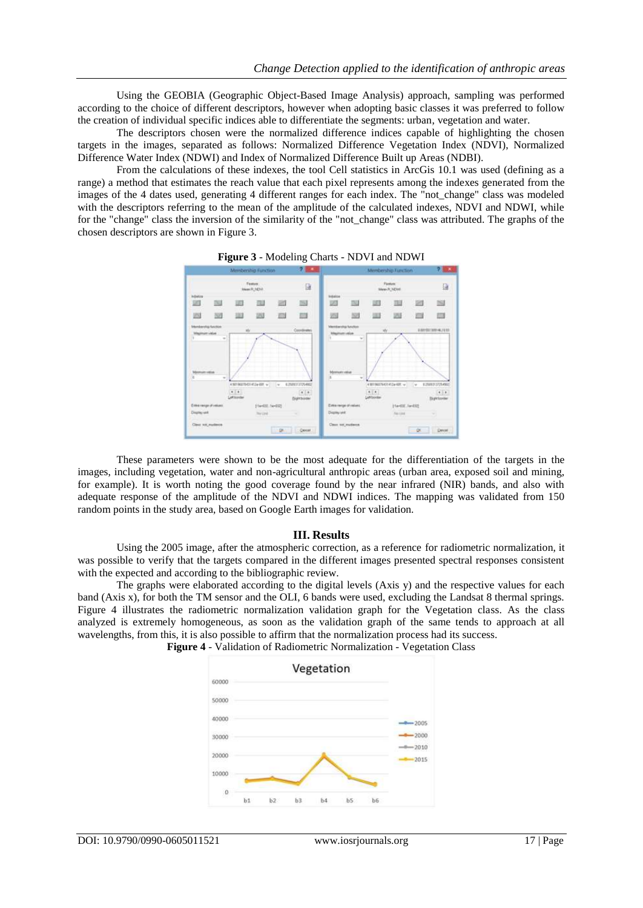Using the GEOBIA (Geographic Object-Based Image Analysis) approach, sampling was performed according to the choice of different descriptors, however when adopting basic classes it was preferred to follow the creation of individual specific indices able to differentiate the segments: urban, vegetation and water.

The descriptors chosen were the normalized difference indices capable of highlighting the chosen targets in the images, separated as follows: Normalized Difference Vegetation Index (NDVI), Normalized Difference Water Index (NDWI) and Index of Normalized Difference Built up Areas (NDBI).

From the calculations of these indexes, the tool Cell statistics in ArcGis 10.1 was used (defining as a range) a method that estimates the reach value that each pixel represents among the indexes generated from the images of the 4 dates used, generating 4 different ranges for each index. The "not change" class was modeled with the descriptors referring to the mean of the amplitude of the calculated indexes, NDVI and NDWI, while for the "change" class the inversion of the similarity of the "not\_change" class was attributed. The graphs of the chosen descriptors are shown in Figure 3.



**Figure 3** - Modeling Charts - NDVI and NDWI

These parameters were shown to be the most adequate for the differentiation of the targets in the images, including vegetation, water and non-agricultural anthropic areas (urban area, exposed soil and mining, for example). It is worth noting the good coverage found by the near infrared (NIR) bands, and also with adequate response of the amplitude of the NDVI and NDWI indices. The mapping was validated from 150 random points in the study area, based on Google Earth images for validation.

#### **III. Results**

Using the 2005 image, after the atmospheric correction, as a reference for radiometric normalization, it was possible to verify that the targets compared in the different images presented spectral responses consistent with the expected and according to the bibliographic review.

The graphs were elaborated according to the digital levels (Axis y) and the respective values for each band (Axis x), for both the TM sensor and the OLI, 6 bands were used, excluding the Landsat 8 thermal springs. Figure 4 illustrates the radiometric normalization validation graph for the Vegetation class. As the class analyzed is extremely homogeneous, as soon as the validation graph of the same tends to approach at all wavelengths, from this, it is also possible to affirm that the normalization process had its success.



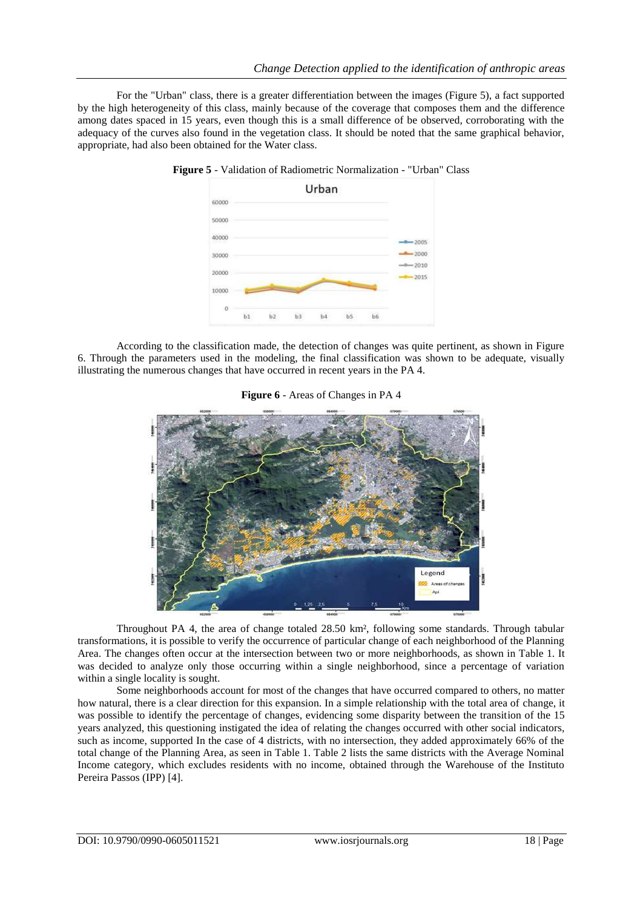For the "Urban" class, there is a greater differentiation between the images (Figure 5), a fact supported by the high heterogeneity of this class, mainly because of the coverage that composes them and the difference among dates spaced in 15 years, even though this is a small difference of be observed, corroborating with the adequacy of the curves also found in the vegetation class. It should be noted that the same graphical behavior, appropriate, had also been obtained for the Water class.



**Figure 5** - Validation of Radiometric Normalization - "Urban" Class

According to the classification made, the detection of changes was quite pertinent, as shown in Figure 6. Through the parameters used in the modeling, the final classification was shown to be adequate, visually illustrating the numerous changes that have occurred in recent years in the PA 4.

#### **Figure 6** - Areas of Changes in PA 4



Throughout PA 4, the area of change totaled 28.50 km², following some standards. Through tabular transformations, it is possible to verify the occurrence of particular change of each neighborhood of the Planning Area. The changes often occur at the intersection between two or more neighborhoods, as shown in Table 1. It was decided to analyze only those occurring within a single neighborhood, since a percentage of variation within a single locality is sought.

Some neighborhoods account for most of the changes that have occurred compared to others, no matter how natural, there is a clear direction for this expansion. In a simple relationship with the total area of change, it was possible to identify the percentage of changes, evidencing some disparity between the transition of the 15 years analyzed, this questioning instigated the idea of relating the changes occurred with other social indicators, such as income, supported In the case of 4 districts, with no intersection, they added approximately 66% of the total change of the Planning Area, as seen in Table 1. Table 2 lists the same districts with the Average Nominal Income category, which excludes residents with no income, obtained through the Warehouse of the Instituto Pereira Passos (IPP) [4].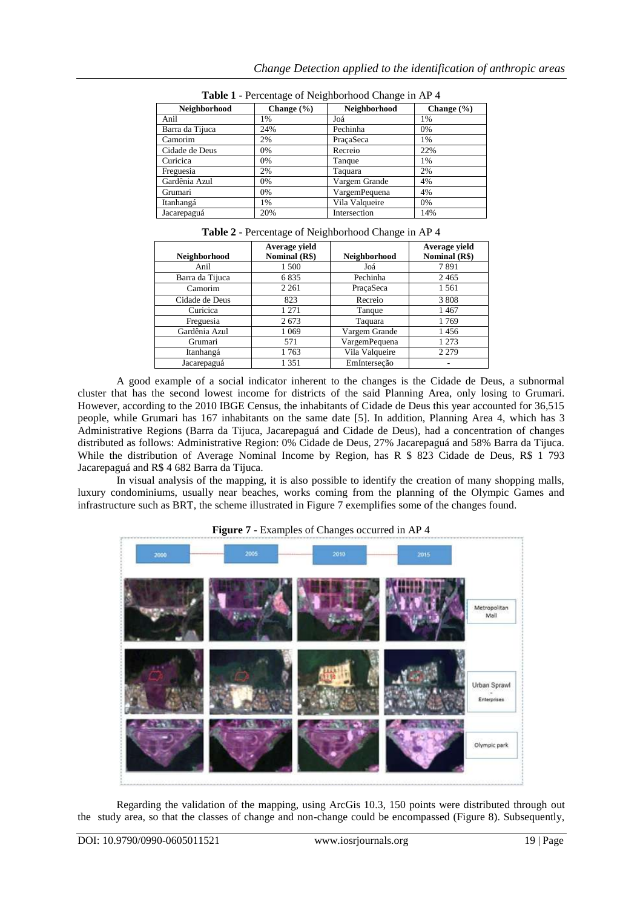| Neighborhood    | Change $(\% )$ | Neighborhood   | Change $(\% )$ |  |
|-----------------|----------------|----------------|----------------|--|
| Anil            | 1%             | Joá            | 1%             |  |
| Barra da Tijuca | 24%            | Pechinha       | 0%             |  |
| Camorim         | 2%             | PraçaSeca      | 1%             |  |
| Cidade de Deus  | 0%             | Recreio        | 22%            |  |
| Curicica        | 0%             | Tanque         | 1%             |  |
| Freguesia       | 2%             | Taguara        | 2%             |  |
| Gardênia Azul   | 0%             | Vargem Grande  | 4%             |  |
| Grumari         | 0%             | VargemPequena  | 4%             |  |
| Itanhangá       | 1%             | Vila Valqueire | 0%             |  |
| Jacarepaguá     | 20%            | Intersection   | 14%            |  |

**Table 1** - Percentage of Neighborhood Change in AP 4

| Neighborhood    | Average yield<br>Nominal (R\$) | Neighborhood   | Average yield<br>Nominal (R\$) |
|-----------------|--------------------------------|----------------|--------------------------------|
| Anil            | 1 500                          | Joá            | 7891                           |
| Barra da Tijuca | 6835                           | Pechinha       | 2465                           |
| Camorim         | 2 2 6 1                        | PracaSeca      | 1561                           |
| Cidade de Deus  | 823                            | Recreio        | 3 8 0 8                        |
| Curicica        | 1 271                          | Tanque         | 1467                           |
| Freguesia       | 2673                           | Taquara        | 1769                           |
| Gardênia Azul   | 1 0 6 9                        | Vargem Grande  | 1456                           |
| Grumari         | 571                            | VargemPequena  | 1 2 7 3                        |
| Itanhangá       | 1763                           | Vila Valqueire | 2 2 7 9                        |
| Jacarepaguá     | 1 3 5 1                        | EmInterseção   |                                |

A good example of a social indicator inherent to the changes is the Cidade de Deus, a subnormal cluster that has the second lowest income for districts of the said Planning Area, only losing to Grumari. However, according to the 2010 IBGE Census, the inhabitants of Cidade de Deus this year accounted for 36,515 people, while Grumari has 167 inhabitants on the same date [5]. In addition, Planning Area 4, which has 3 Administrative Regions (Barra da Tijuca, Jacarepaguá and Cidade de Deus), had a concentration of changes distributed as follows: Administrative Region: 0% Cidade de Deus, 27% Jacarepaguá and 58% Barra da Tijuca. While the distribution of Average Nominal Income by Region, has R \$ 823 Cidade de Deus, R\$ 1 793 Jacarepaguá and R\$ 4 682 Barra da Tijuca.

In visual analysis of the mapping, it is also possible to identify the creation of many shopping malls, luxury condominiums, usually near beaches, works coming from the planning of the Olympic Games and infrastructure such as BRT, the scheme illustrated in Figure 7 exemplifies some of the changes found.



Regarding the validation of the mapping, using ArcGis 10.3, 150 points were distributed through out the study area, so that the classes of change and non-change could be encompassed (Figure 8). Subsequently,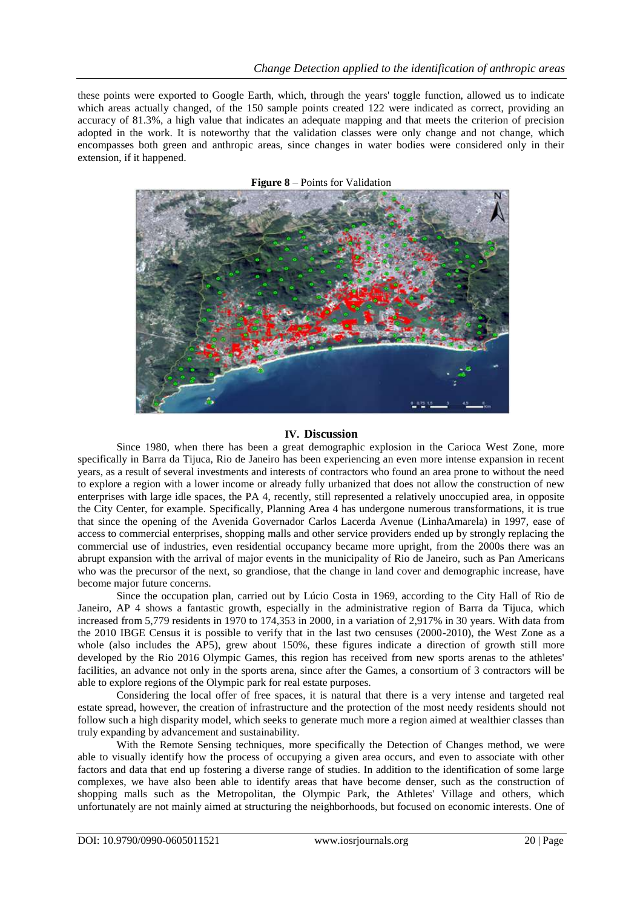these points were exported to Google Earth, which, through the years' toggle function, allowed us to indicate which areas actually changed, of the 150 sample points created 122 were indicated as correct, providing an accuracy of 81.3%, a high value that indicates an adequate mapping and that meets the criterion of precision adopted in the work. It is noteworthy that the validation classes were only change and not change, which encompasses both green and anthropic areas, since changes in water bodies were considered only in their extension, if it happened.



**Figure 8** – Points for Validation

## **IV. Discussion**

Since 1980, when there has been a great demographic explosion in the Carioca West Zone, more specifically in Barra da Tijuca, Rio de Janeiro has been experiencing an even more intense expansion in recent years, as a result of several investments and interests of contractors who found an area prone to without the need to explore a region with a lower income or already fully urbanized that does not allow the construction of new enterprises with large idle spaces, the PA 4, recently, still represented a relatively unoccupied area, in opposite the City Center, for example. Specifically, Planning Area 4 has undergone numerous transformations, it is true that since the opening of the Avenida Governador Carlos Lacerda Avenue (LinhaAmarela) in 1997, ease of access to commercial enterprises, shopping malls and other service providers ended up by strongly replacing the commercial use of industries, even residential occupancy became more upright, from the 2000s there was an abrupt expansion with the arrival of major events in the municipality of Rio de Janeiro, such as Pan Americans who was the precursor of the next, so grandiose, that the change in land cover and demographic increase, have become major future concerns.

Since the occupation plan, carried out by Lúcio Costa in 1969, according to the City Hall of Rio de Janeiro, AP 4 shows a fantastic growth, especially in the administrative region of Barra da Tijuca, which increased from 5,779 residents in 1970 to 174,353 in 2000, in a variation of 2,917% in 30 years. With data from the 2010 IBGE Census it is possible to verify that in the last two censuses (2000-2010), the West Zone as a whole (also includes the AP5), grew about 150%, these figures indicate a direction of growth still more developed by the Rio 2016 Olympic Games, this region has received from new sports arenas to the athletes' facilities, an advance not only in the sports arena, since after the Games, a consortium of 3 contractors will be able to explore regions of the Olympic park for real estate purposes.

Considering the local offer of free spaces, it is natural that there is a very intense and targeted real estate spread, however, the creation of infrastructure and the protection of the most needy residents should not follow such a high disparity model, which seeks to generate much more a region aimed at wealthier classes than truly expanding by advancement and sustainability.

With the Remote Sensing techniques, more specifically the Detection of Changes method, we were able to visually identify how the process of occupying a given area occurs, and even to associate with other factors and data that end up fostering a diverse range of studies. In addition to the identification of some large complexes, we have also been able to identify areas that have become denser, such as the construction of shopping malls such as the Metropolitan, the Olympic Park, the Athletes' Village and others, which unfortunately are not mainly aimed at structuring the neighborhoods, but focused on economic interests. One of